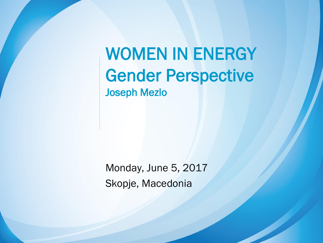WOMEN IN ENERGY Gender Perspective Joseph Mezlo

Monday, June 5, 2017 Skopje, Macedonia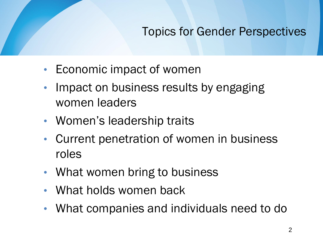### Topics for Gender Perspectives

- Economic impact of women
- Impact on business results by engaging women leaders
- Women's leadership traits
- Current penetration of women in business roles
- What women bring to business
- What holds women back
- What companies and individuals need to do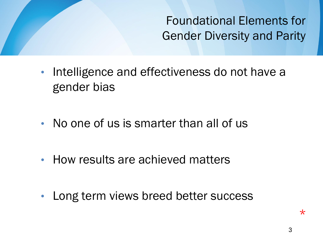Foundational Elements for Gender Diversity and Parity

- Intelligence and effectiveness do not have a gender bias
- No one of us is smarter than all of us
- How results are achieved matters
- Long term views breed better success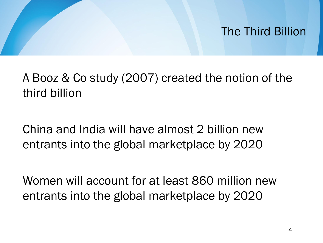### The Third Billion

A Booz & Co study (2007) created the notion of the third billion

China and India will have almost 2 billion new entrants into the global marketplace by 2020

Women will account for at least 860 million new entrants into the global marketplace by 2020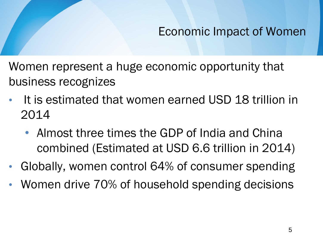### Economic Impact of Women

Women represent a huge economic opportunity that business recognizes

- It is estimated that women earned USD 18 trillion in 2014
	- Almost three times the GDP of India and China combined (Estimated at USD 6.6 trillion in 2014)
- Globally, women control 64% of consumer spending
- Women drive 70% of household spending decisions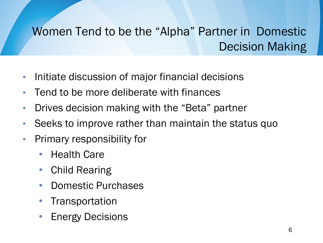### Women Tend to be the "Alpha" Partner in Domestic Decision Making

- Initiate discussion of major financial decisions
- Tend to be more deliberate with finances
- Drives decision making with the "Beta" partner
- Seeks to improve rather than maintain the status quo
- Primary responsibility for
	- Health Care
	- Child Rearing
	- Domestic Purchases
	- **Transportation**
	- **Energy Decisions**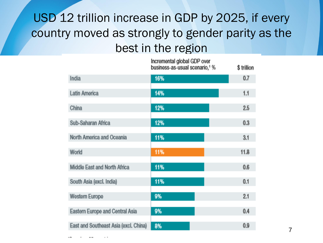### USD 12 trillion increase in GDP by 2025, if every country moved as strongly to gender parity as the best in the region

Ineromontal alobal CDD over

|                                       | ומזיט ווער ושעשען ושווסוויס שוו<br>business-as-usual scenario, <sup>1</sup> % | \$trillion |
|---------------------------------------|-------------------------------------------------------------------------------|------------|
| India                                 | 16%                                                                           | 0.7        |
| Latin America                         | 14%                                                                           | 1.1        |
| China                                 | 12%                                                                           | 2.5        |
| Sub-Saharan Africa                    | 12%                                                                           | 0.3        |
| North America and Oceania             | 11%                                                                           | 3.1        |
| World                                 | 11%                                                                           | 11.8       |
| Middle East and North Africa          | 11%                                                                           | 0.6        |
| South Asia (excl. India)              | 11%                                                                           | 0.1        |
| Western Europe                        | 9%                                                                            | 2.1        |
| Eastern Europe and Central Asia       | 9%                                                                            | 0.4        |
| East and Southeast Asia (excl. China) | 8%                                                                            | 0.9        |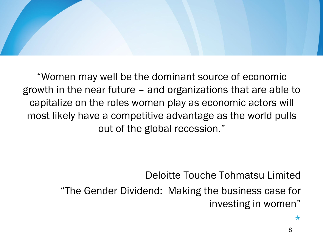

"Women may well be the dominant source of economic growth in the near future – and organizations that are able to capitalize on the roles women play as economic actors will most likely have a competitive advantage as the world pulls out of the global recession."

Deloitte Touche Tohmatsu Limited

"The Gender Dividend: Making the business case for investing in women"

\*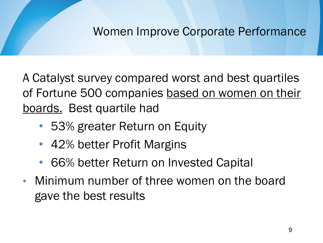### Women Improve Corporate Performance

A Catalyst survey compared worst and best quartiles of Fortune 500 companies based on women on their boards. Best quartile had

- 53% greater Return on Equity
- 42% better Profit Margins
- 66% better Return on Invested Capital
- Minimum number of three women on the board gave the best results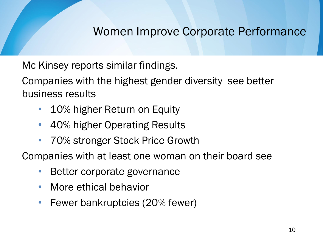### Women Improve Corporate Performance

Mc Kinsey reports similar findings.

Companies with the highest gender diversity see better business results

- 10% higher Return on Equity
- 40% higher Operating Results
- 70% stronger Stock Price Growth

Companies with at least one woman on their board see

- Better corporate governance
- More ethical behavior
- Fewer bankruptcies (20% fewer)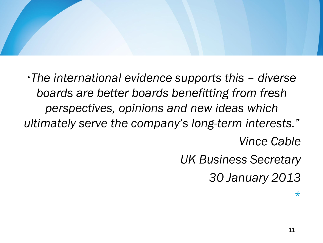"*The international evidence supports this – diverse boards are better boards benefitting from fresh perspectives, opinions and new ideas which ultimately serve the company's long-term interests." Vince Cable UK Business Secretary*

*30 January 2013*

*\**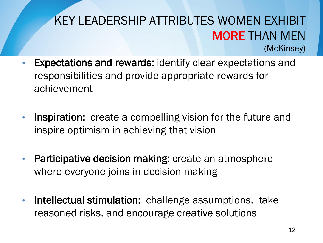### KEY LEADERSHIP ATTRIBUTES WOMEN EXHIBIT MORE THAN MEN (McKinsey)

- Expectations and rewards: identify clear expectations and responsibilities and provide appropriate rewards for achievement
- Inspiration: create a compelling vision for the future and inspire optimism in achieving that vision
- Participative decision making: create an atmosphere where everyone joins in decision making
- Intellectual stimulation: challenge assumptions, take reasoned risks, and encourage creative solutions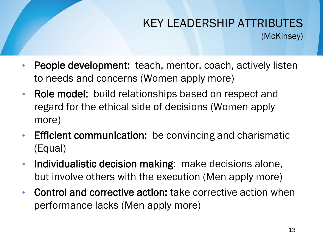### KEY LEADERSHIP ATTRIBUTES (McKinsey)

- People development: teach, mentor, coach, actively listen to needs and concerns (Women apply more)
- Role model: build relationships based on respect and regard for the ethical side of decisions (Women apply more)
- Efficient communication: be convincing and charismatic (Equal)
- Individualistic decision making: make decisions alone, but involve others with the execution (Men apply more)
- Control and corrective action: take corrective action when performance lacks (Men apply more)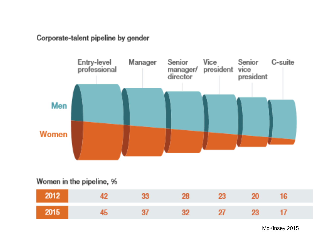Corporate-talent pipeline by gender



#### Women in the pipeline, %

|      | 2012 | $-23$ | - 28 - | $23-$ | 20    |  |
|------|------|-------|--------|-------|-------|--|
| 2015 |      | $-37$ | - 32   |       | 27 23 |  |

McKinsey 2015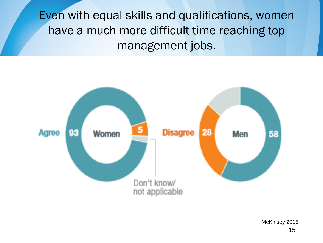Even with equal skills and qualifications, women have a much more difficult time reaching top management jobs.



15 McKinsey 2015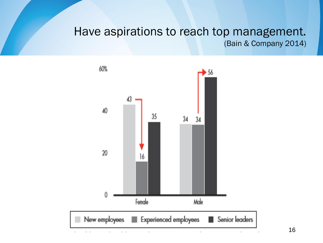#### Have aspirations to reach top management. (Bain & Company 2014)



16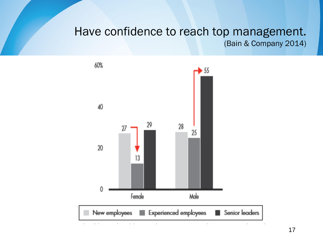#### Have confidence to reach top management. (Bain & Company 2014)

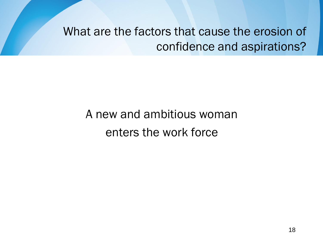What are the factors that cause the erosion of confidence and aspirations?

### A new and ambitious woman enters the work force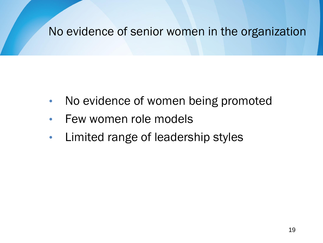### No evidence of senior women in the organization

- No evidence of women being promoted
- Few women role models
- Limited range of leadership styles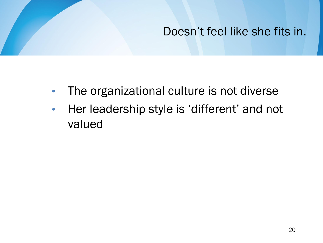### Doesn"t feel like she fits in.

- The organizational culture is not diverse
- Her leadership style is 'different' and not valued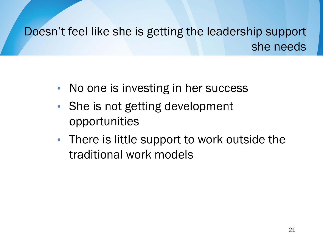Doesn"t feel like she is getting the leadership support she needs

- No one is investing in her success
- She is not getting development opportunities
- There is little support to work outside the traditional work models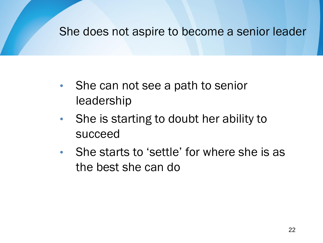#### She does not aspire to become a senior leader

- She can not see a path to senior leadership
- She is starting to doubt her ability to succeed
- She starts to 'settle' for where she is as the best she can do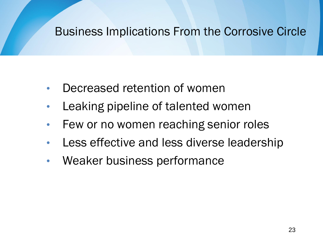### Business Implications From the Corrosive Circle

- Decreased retention of women
- Leaking pipeline of talented women
- Few or no women reaching senior roles
- Less effective and less diverse leadership
- Weaker business performance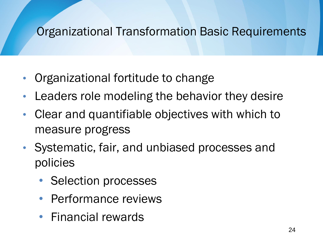### Organizational Transformation Basic Requirements

- Organizational fortitude to change
- Leaders role modeling the behavior they desire
- Clear and quantifiable objectives with which to measure progress
- Systematic, fair, and unbiased processes and policies
	- Selection processes
	- Performance reviews
	- Financial rewards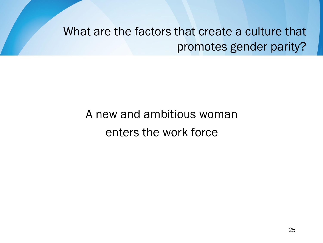What are the factors that create a culture that promotes gender parity?

### A new and ambitious woman enters the work force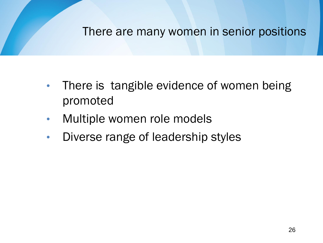#### There are many women in senior positions

- There is tangible evidence of women being promoted
- Multiple women role models
- Diverse range of leadership styles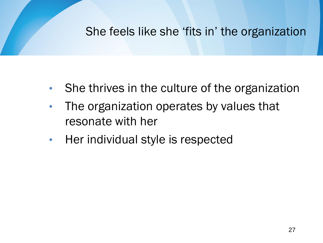### She feels like she 'fits in' the organization

- She thrives in the culture of the organization
- The organization operates by values that resonate with her
- Her individual style is respected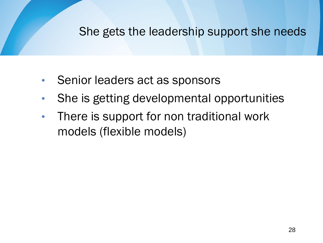#### She gets the leadership support she needs

- Senior leaders act as sponsors
- She is getting developmental opportunities
- There is support for non traditional work models (flexible models)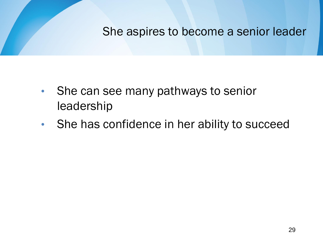She aspires to become a senior leader

- She can see many pathways to senior leadership
- She has confidence in her ability to succeed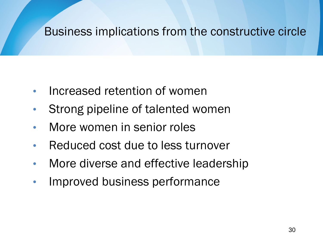### Business implications from the constructive circle

- Increased retention of women
- Strong pipeline of talented women
- More women in senior roles
- Reduced cost due to less turnover
- More diverse and effective leadership
- Improved business performance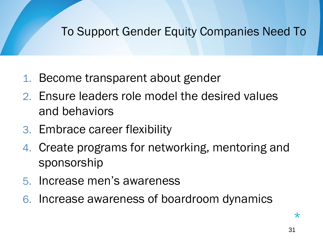### To Support Gender Equity Companies Need To

- 1. Become transparent about gender
- 2. Ensure leaders role model the desired values and behaviors
- 3. Embrace career flexibility
- 4. Create programs for networking, mentoring and sponsorship
- 5. Increase men"s awareness
- 6. Increase awareness of boardroom dynamics

 $\star$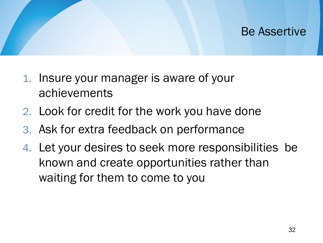### Be Assertive

- 1. Insure your manager is aware of your achievements
- 2. Look for credit for the work you have done
- 3. Ask for extra feedback on performance
- 4. Let your desires to seek more responsibilities be known and create opportunities rather than waiting for them to come to you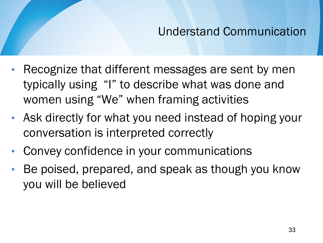### Understand Communication

- Recognize that different messages are sent by men typically using "I" to describe what was done and women using "We" when framing activities
- Ask directly for what you need instead of hoping your conversation is interpreted correctly
- Convey confidence in your communications
- Be poised, prepared, and speak as though you know you will be believed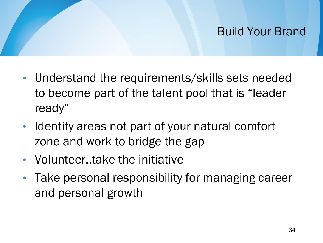### Build Your Brand

- Understand the requirements/skills sets needed to become part of the talent pool that is "leader ready"
- Identify areas not part of your natural comfort zone and work to bridge the gap
- Volunteer..take the initiative
- Take personal responsibility for managing career and personal growth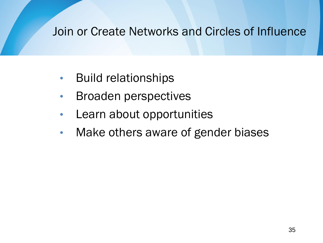### Join or Create Networks and Circles of Influence

- Build relationships
- Broaden perspectives
- Learn about opportunities
- Make others aware of gender biases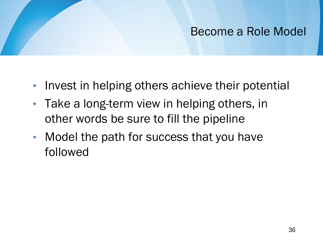### Become a Role Model

- Invest in helping others achieve their potential
- Take a long-term view in helping others, in other words be sure to fill the pipeline
- Model the path for success that you have followed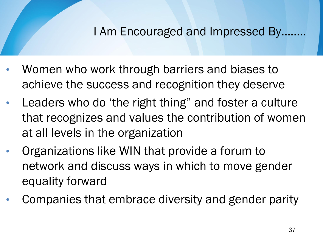### I Am Encouraged and Impressed By……..

- Women who work through barriers and biases to achieve the success and recognition they deserve
- Leaders who do 'the right thing" and foster a culture that recognizes and values the contribution of women at all levels in the organization
- Organizations like WIN that provide a forum to network and discuss ways in which to move gender equality forward
- Companies that embrace diversity and gender parity